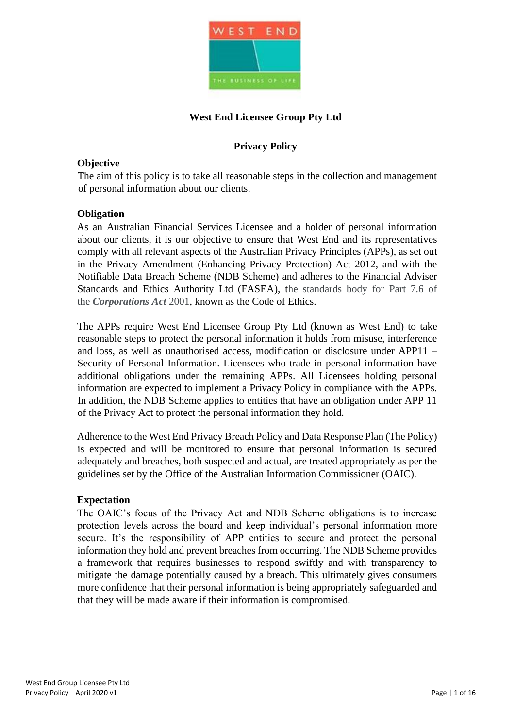

# **West End Licensee Group Pty Ltd**

# **Privacy Policy**

# **Objective**

The aim of this policy is to take all reasonable steps in the collection and management of personal information about our clients.

#### **Obligation**

As an Australian Financial Services Licensee and a holder of personal information about our clients, it is our objective to ensure that West End and its representatives comply with all relevant aspects of the Australian Privacy Principles (APPs), as set out in the Privacy Amendment (Enhancing Privacy Protection) Act 2012, and with the Notifiable Data Breach Scheme (NDB Scheme) and adheres to the Financial Adviser Standards and Ethics Authority Ltd (FASEA), the standards body for Part 7.6 of the *Corporations Act* 2001, known as the Code of Ethics.

The APPs require West End Licensee Group Pty Ltd (known as West End) to take reasonable steps to protect the personal information it holds from misuse, interference and loss, as well as unauthorised access, modification or disclosure under APP11 – Security of Personal Information. Licensees who trade in personal information have additional obligations under the remaining APPs. All Licensees holding personal information are expected to implement a Privacy Policy in compliance with the APPs. In addition, the NDB Scheme applies to entities that have an obligation under APP 11 of the Privacy Act to protect the personal information they hold.

Adherence to the West End Privacy Breach Policy and Data Response Plan (The Policy) is expected and will be monitored to ensure that personal information is secured adequately and breaches, both suspected and actual, are treated appropriately as per the guidelines set by the Office of the Australian Information Commissioner (OAIC).

#### **Expectation**

The OAIC's focus of the Privacy Act and NDB Scheme obligations is to increase protection levels across the board and keep individual's personal information more secure. It's the responsibility of APP entities to secure and protect the personal information they hold and prevent breaches from occurring. The NDB Scheme provides a framework that requires businesses to respond swiftly and with transparency to mitigate the damage potentially caused by a breach. This ultimately gives consumers more confidence that their personal information is being appropriately safeguarded and that they will be made aware if their information is compromised.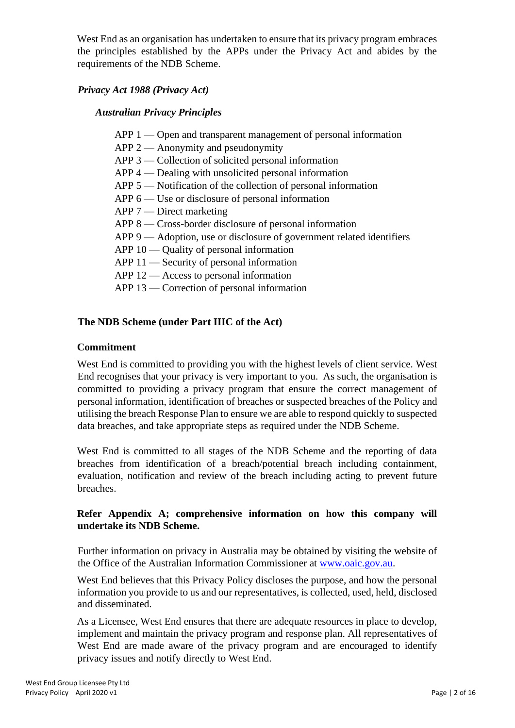West End as an organisation has undertaken to ensure that its privacy program embraces the principles established by the APPs under the Privacy Act and abides by the requirements of the NDB Scheme.

# *Privacy Act 1988 (Privacy Act)*

# *Australian Privacy Principles*

- APP 1 Open and transparent management of personal information
- APP 2 Anonymity and pseudonymity
- APP 3 Collection of solicited personal information
- APP 4 Dealing with unsolicited personal information
- APP 5 Notification of the collection of personal information
- APP 6 Use or disclosure of personal information
- APP 7 Direct marketing
- APP 8 Cross-border disclosure of personal information
- APP 9 Adoption, use or disclosure of government related identifiers
- APP 10 Quality of personal information
- APP 11 Security of personal information
- APP 12 Access to personal information
- APP 13 Correction of personal information

# **The NDB Scheme (under Part IIIC of the Act)**

#### **Commitment**

West End is committed to providing you with the highest levels of client service. West End recognises that your privacy is very important to you. As such, the organisation is committed to providing a privacy program that ensure the correct management of personal information, identification of breaches or suspected breaches of the Policy and utilising the breach Response Plan to ensure we are able to respond quickly to suspected data breaches, and take appropriate steps as required under the NDB Scheme.

West End is committed to all stages of the NDB Scheme and the reporting of data breaches from identification of a breach/potential breach including containment, evaluation, notification and review of the breach including acting to prevent future breaches.

# **Refer Appendix A; comprehensive information on how this company will undertake its NDB Scheme.**

Further information on privacy in Australia may be obtained by visiting the website of the Office of the Australian Information Commissioner at www.oaic.gov.au.

West End believes that this Privacy Policy discloses the purpose, and how the personal information you provide to us and our representatives, is collected, used, held, disclosed and disseminated.

As a Licensee, West End ensures that there are adequate resources in place to develop, implement and maintain the privacy program and response plan. All representatives of West End are made aware of the privacy program and are encouraged to identify privacy issues and notify directly to West End.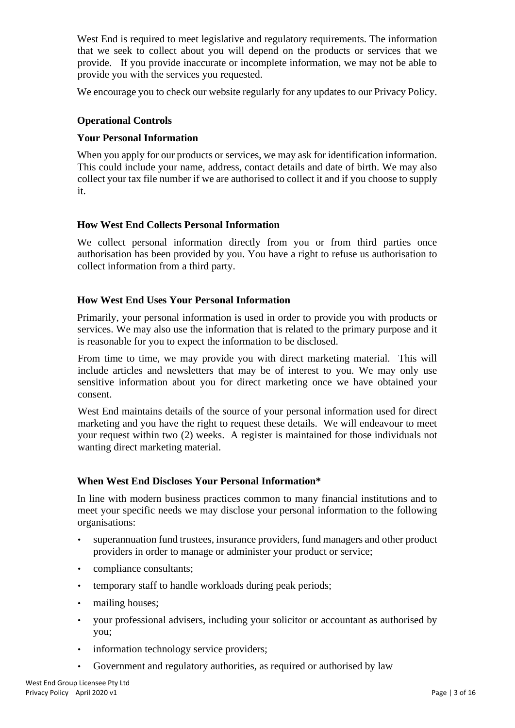West End is required to meet legislative and regulatory requirements. The information that we seek to collect about you will depend on the products or services that we provide. If you provide inaccurate or incomplete information, we may not be able to provide you with the services you requested.

We encourage you to check our website regularly for any updates to our Privacy Policy.

# **Operational Controls**

# **Your Personal Information**

When you apply for our products or services, we may ask for identification information. This could include your name, address, contact details and date of birth. We may also collect your tax file number if we are authorised to collect it and if you choose to supply it.

#### **How West End Collects Personal Information**

We collect personal information directly from you or from third parties once authorisation has been provided by you. You have a right to refuse us authorisation to collect information from a third party.

# **How West End Uses Your Personal Information**

Primarily, your personal information is used in order to provide you with products or services. We may also use the information that is related to the primary purpose and it is reasonable for you to expect the information to be disclosed.

From time to time, we may provide you with direct marketing material. This will include articles and newsletters that may be of interest to you. We may only use sensitive information about you for direct marketing once we have obtained your consent.

West End maintains details of the source of your personal information used for direct marketing and you have the right to request these details. We will endeavour to meet your request within two (2) weeks. A register is maintained for those individuals not wanting direct marketing material.

#### **When West End Discloses Your Personal Information\***

In line with modern business practices common to many financial institutions and to meet your specific needs we may disclose your personal information to the following organisations:

- superannuation fund trustees, insurance providers, fund managers and other product providers in order to manage or administer your product or service;
- compliance consultants;
- temporary staff to handle workloads during peak periods;
- mailing houses;
- your professional advisers, including your solicitor or accountant as authorised by you;
- information technology service providers;
- Government and regulatory authorities, as required or authorised by law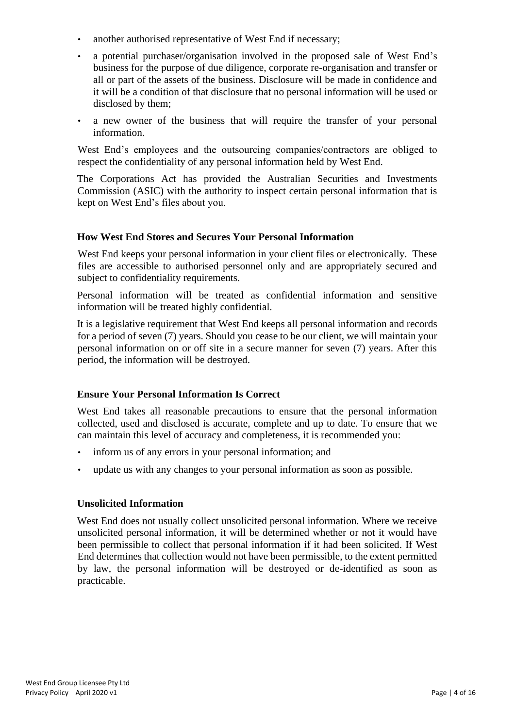- another authorised representative of West End if necessary;
- a potential purchaser/organisation involved in the proposed sale of West End's business for the purpose of due diligence, corporate re-organisation and transfer or all or part of the assets of the business. Disclosure will be made in confidence and it will be a condition of that disclosure that no personal information will be used or disclosed by them;
- a new owner of the business that will require the transfer of your personal information.

West End's employees and the outsourcing companies/contractors are obliged to respect the confidentiality of any personal information held by West End.

The Corporations Act has provided the Australian Securities and Investments Commission (ASIC) with the authority to inspect certain personal information that is kept on West End's files about you.

# **How West End Stores and Secures Your Personal Information**

West End keeps your personal information in your client files or electronically. These files are accessible to authorised personnel only and are appropriately secured and subject to confidentiality requirements.

Personal information will be treated as confidential information and sensitive information will be treated highly confidential.

It is a legislative requirement that West End keeps all personal information and records for a period of seven (7) years. Should you cease to be our client, we will maintain your personal information on or off site in a secure manner for seven (7) years. After this period, the information will be destroyed.

# **Ensure Your Personal Information Is Correct**

West End takes all reasonable precautions to ensure that the personal information collected, used and disclosed is accurate, complete and up to date. To ensure that we can maintain this level of accuracy and completeness, it is recommended you:

- inform us of any errors in your personal information; and
- update us with any changes to your personal information as soon as possible.

# **Unsolicited Information**

West End does not usually collect unsolicited personal information. Where we receive unsolicited personal information, it will be determined whether or not it would have been permissible to collect that personal information if it had been solicited. If West End determines that collection would not have been permissible, to the extent permitted by law, the personal information will be destroyed or de-identified as soon as practicable.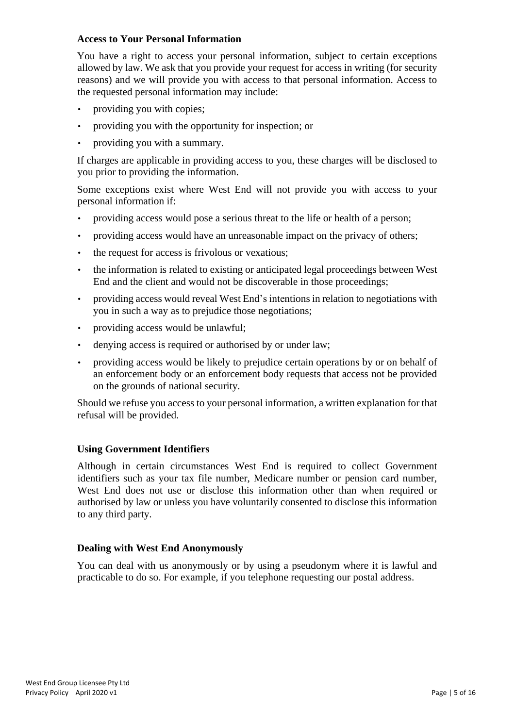#### **Access to Your Personal Information**

You have a right to access your personal information, subject to certain exceptions allowed by law. We ask that you provide your request for access in writing (for security reasons) and we will provide you with access to that personal information. Access to the requested personal information may include:

- providing you with copies;
- providing you with the opportunity for inspection; or
- providing you with a summary.

If charges are applicable in providing access to you, these charges will be disclosed to you prior to providing the information.

Some exceptions exist where West End will not provide you with access to your personal information if:

- providing access would pose a serious threat to the life or health of a person;
- providing access would have an unreasonable impact on the privacy of others;
- the request for access is frivolous or vexatious;
- the information is related to existing or anticipated legal proceedings between West End and the client and would not be discoverable in those proceedings;
- providing access would reveal West End's intentions in relation to negotiations with you in such a way as to prejudice those negotiations;
- providing access would be unlawful;
- denying access is required or authorised by or under law;
- providing access would be likely to prejudice certain operations by or on behalf of an enforcement body or an enforcement body requests that access not be provided on the grounds of national security.

Should we refuse you access to your personal information, a written explanation for that refusal will be provided.

# **Using Government Identifiers**

Although in certain circumstances West End is required to collect Government identifiers such as your tax file number, Medicare number or pension card number, West End does not use or disclose this information other than when required or authorised by law or unless you have voluntarily consented to disclose this information to any third party.

#### **Dealing with West End Anonymously**

You can deal with us anonymously or by using a pseudonym where it is lawful and practicable to do so. For example, if you telephone requesting our postal address.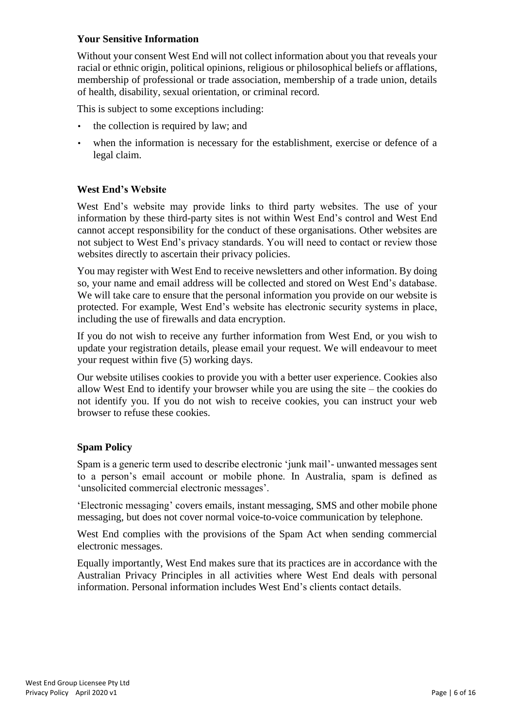# **Your Sensitive Information**

Without your consent West End will not collect information about you that reveals your racial or ethnic origin, political opinions, religious or philosophical beliefs or afflations, membership of professional or trade association, membership of a trade union, details of health, disability, sexual orientation, or criminal record.

This is subject to some exceptions including:

- the collection is required by law; and
- when the information is necessary for the establishment, exercise or defence of a legal claim.

#### **West End's Website**

West End's website may provide links to third party websites. The use of your information by these third-party sites is not within West End's control and West End cannot accept responsibility for the conduct of these organisations. Other websites are not subject to West End's privacy standards. You will need to contact or review those websites directly to ascertain their privacy policies.

You may register with West End to receive newsletters and other information. By doing so, your name and email address will be collected and stored on West End's database. We will take care to ensure that the personal information you provide on our website is protected. For example, West End's website has electronic security systems in place, including the use of firewalls and data encryption.

If you do not wish to receive any further information from West End, or you wish to update your registration details, please email your request. We will endeavour to meet your request within five (5) working days.

Our website utilises cookies to provide you with a better user experience. Cookies also allow West End to identify your browser while you are using the site – the cookies do not identify you. If you do not wish to receive cookies, you can instruct your web browser to refuse these cookies.

#### **Spam Policy**

Spam is a generic term used to describe electronic 'junk mail'- unwanted messages sent to a person's email account or mobile phone. In Australia, spam is defined as 'unsolicited commercial electronic messages'.

'Electronic messaging' covers emails, instant messaging, SMS and other mobile phone messaging, but does not cover normal voice-to-voice communication by telephone.

West End complies with the provisions of the Spam Act when sending commercial electronic messages.

Equally importantly, West End makes sure that its practices are in accordance with the Australian Privacy Principles in all activities where West End deals with personal information. Personal information includes West End's clients contact details.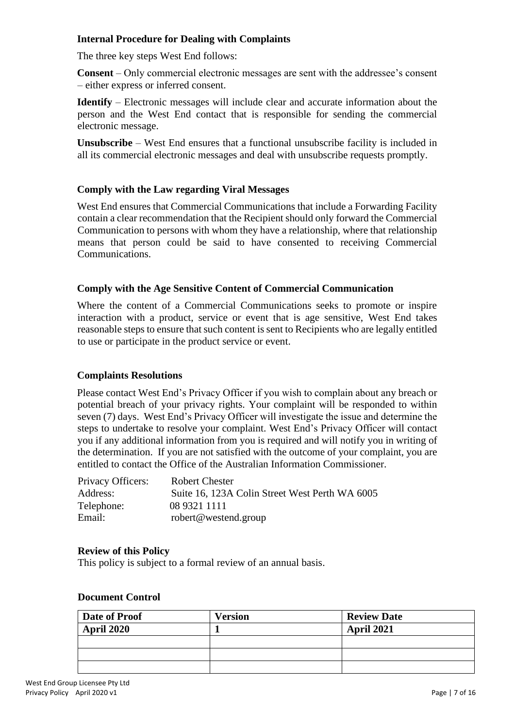# **Internal Procedure for Dealing with Complaints**

The three key steps West End follows:

**Consent** – Only commercial electronic messages are sent with the addressee's consent – either express or inferred consent.

**Identify** – Electronic messages will include clear and accurate information about the person and the West End contact that is responsible for sending the commercial electronic message.

**Unsubscribe** – West End ensures that a functional unsubscribe facility is included in all its commercial electronic messages and deal with unsubscribe requests promptly.

#### **Comply with the Law regarding Viral Messages**

West End ensures that Commercial Communications that include a Forwarding Facility contain a clear recommendation that the Recipient should only forward the Commercial Communication to persons with whom they have a relationship, where that relationship means that person could be said to have consented to receiving Commercial Communications.

#### **Comply with the Age Sensitive Content of Commercial Communication**

Where the content of a Commercial Communications seeks to promote or inspire interaction with a product, service or event that is age sensitive, West End takes reasonable steps to ensure that such content is sent to Recipients who are legally entitled to use or participate in the product service or event.

#### **Complaints Resolutions**

Please contact West End's Privacy Officer if you wish to complain about any breach or potential breach of your privacy rights. Your complaint will be responded to within seven (7) days. West End's Privacy Officer will investigate the issue and determine the steps to undertake to resolve your complaint. West End's Privacy Officer will contact you if any additional information from you is required and will notify you in writing of the determination. If you are not satisfied with the outcome of your complaint, you are entitled to contact the Office of the Australian Information Commissioner.

| Privacy Officers: | Robert Chester                                 |
|-------------------|------------------------------------------------|
| Address:          | Suite 16, 123A Colin Street West Perth WA 6005 |
| Telephone:        | 08 9321 1111                                   |
| Email:            | robert@westend.group                           |

#### **Review of this Policy**

This policy is subject to a formal review of an annual basis.

#### **Document Control**

| Date of Proof     | <b>Version</b> | <b>Review Date</b> |
|-------------------|----------------|--------------------|
| <b>April 2020</b> |                | April 2021         |
|                   |                |                    |
|                   |                |                    |
|                   |                |                    |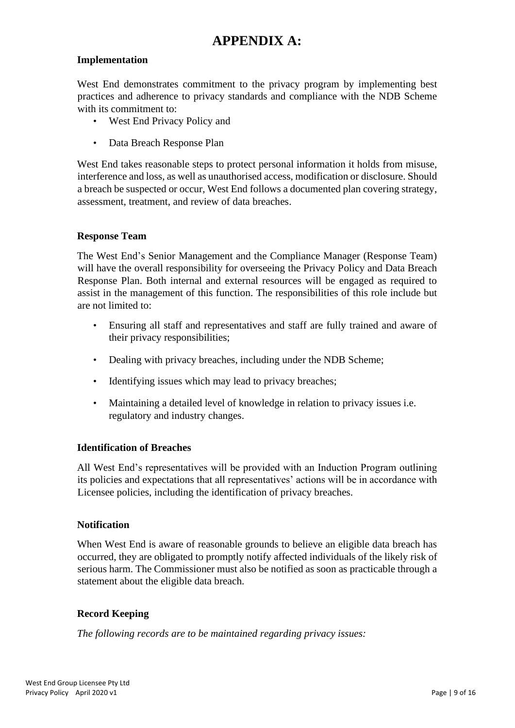# **APPENDIX A:**

# **Implementation**

West End demonstrates commitment to the privacy program by implementing best practices and adherence to privacy standards and compliance with the NDB Scheme with its commitment to:

- West End Privacy Policy and
- Data Breach Response Plan

West End takes reasonable steps to protect personal information it holds from misuse, interference and loss, as well as unauthorised access, modification or disclosure. Should a breach be suspected or occur, West End follows a documented plan covering strategy, assessment, treatment, and review of data breaches.

#### **Response Team**

The West End's Senior Management and the Compliance Manager (Response Team) will have the overall responsibility for overseeing the Privacy Policy and Data Breach Response Plan. Both internal and external resources will be engaged as required to assist in the management of this function. The responsibilities of this role include but are not limited to:

- Ensuring all staff and representatives and staff are fully trained and aware of their privacy responsibilities;
- Dealing with privacy breaches, including under the NDB Scheme;
- Identifying issues which may lead to privacy breaches;
- Maintaining a detailed level of knowledge in relation to privacy issues i.e. regulatory and industry changes.

#### **Identification of Breaches**

All West End's representatives will be provided with an Induction Program outlining its policies and expectations that all representatives' actions will be in accordance with Licensee policies, including the identification of privacy breaches.

#### **Notification**

When West End is aware of reasonable grounds to believe an eligible data breach has occurred, they are obligated to promptly notify affected individuals of the likely risk of serious harm. The Commissioner must also be notified as soon as practicable through a statement about the eligible data breach.

#### **Record Keeping**

*The following records are to be maintained regarding privacy issues:*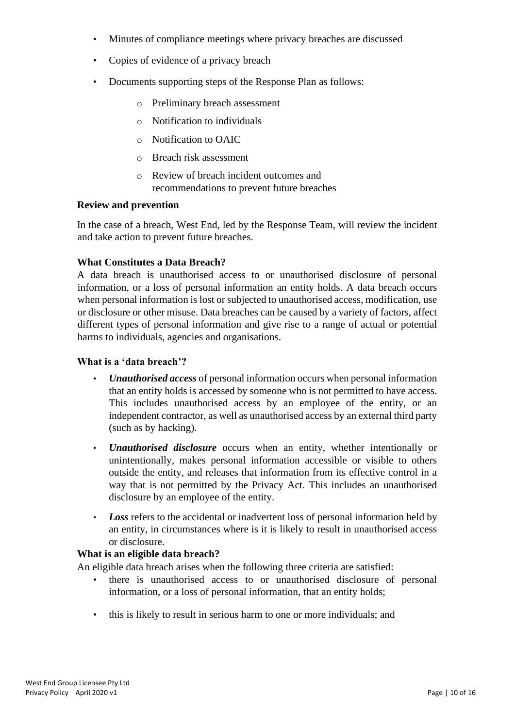- Minutes of compliance meetings where privacy breaches are discussed
- Copies of evidence of a privacy breach
- Documents supporting steps of the Response Plan as follows:
	- o Preliminary breach assessment
	- o Notification to individuals
	- o Notification to OAIC
	- o Breach risk assessment
	- o Review of breach incident outcomes and recommendations to prevent future breaches

#### **Review and prevention**

In the case of a breach, West End, led by the Response Team, will review the incident and take action to prevent future breaches.

#### **What Constitutes a Data Breach?**

A data breach is unauthorised access to or unauthorised disclosure of personal information, or a loss of personal information an entity holds. A data breach occurs when personal information is lost or subjected to unauthorised access, modification, use or disclosure or other misuse. Data breaches can be caused by a variety of factors, affect different types of personal information and give rise to a range of actual or potential harms to individuals, agencies and organisations.

#### **What is a 'data breach'?**

- *Unauthorised access* of personal information occurs when personal information that an entity holds is accessed by someone who is not permitted to have access. This includes unauthorised access by an employee of the entity, or an independent contractor, as well as unauthorised access by an external third party (such as by hacking).
- *Unauthorised disclosure* occurs when an entity, whether intentionally or unintentionally, makes personal information accessible or visible to others outside the entity, and releases that information from its effective control in a way that is not permitted by the Privacy Act. This includes an unauthorised disclosure by an employee of the entity.
- *Loss* refers to the accidental or inadvertent loss of personal information held by an entity, in circumstances where is it is likely to result in unauthorised access or disclosure.

#### **What is an eligible data breach?**

An eligible data breach arises when the following three criteria are satisfied:

- there is unauthorised access to or unauthorised disclosure of personal information, or a loss of personal information, that an entity holds;
- this is likely to result in serious harm to one or more individuals; and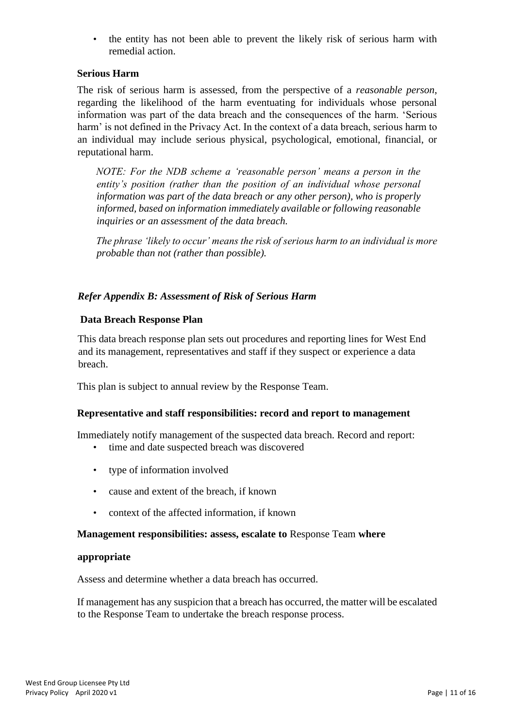• the entity has not been able to prevent the likely risk of serious harm with remedial action.

# **Serious Harm**

The risk of serious harm is assessed, from the perspective of a *reasonable person*, regarding the likelihood of the harm eventuating for individuals whose personal information was part of the data breach and the consequences of the harm. 'Serious harm' is not defined in the Privacy Act. In the context of a data breach, serious harm to an individual may include serious physical, psychological, emotional, financial, or reputational harm.

*NOTE: For the NDB scheme a 'reasonable person' means a person in the entity's position (rather than the position of an individual whose personal information was part of the data breach or any other person), who is properly informed, based on information immediately available or following reasonable inquiries or an assessment of the data breach.* 

*The phrase 'likely to occur' means the risk of serious harm to an individual is more probable than not (rather than possible).* 

# *Refer Appendix B: Assessment of Risk of Serious Harm*

# **Data Breach Response Plan**

This data breach response plan sets out procedures and reporting lines for West End and its management, representatives and staff if they suspect or experience a data breach.

This plan is subject to annual review by the Response Team.

# **Representative and staff responsibilities: record and report to management**

Immediately notify management of the suspected data breach. Record and report:

- time and date suspected breach was discovered
- type of information involved
- cause and extent of the breach, if known
- context of the affected information, if known

#### **Management responsibilities: assess, escalate to** Response Team **where**

#### **appropriate**

Assess and determine whether a data breach has occurred.

If management has any suspicion that a breach has occurred, the matter will be escalated to the Response Team to undertake the breach response process.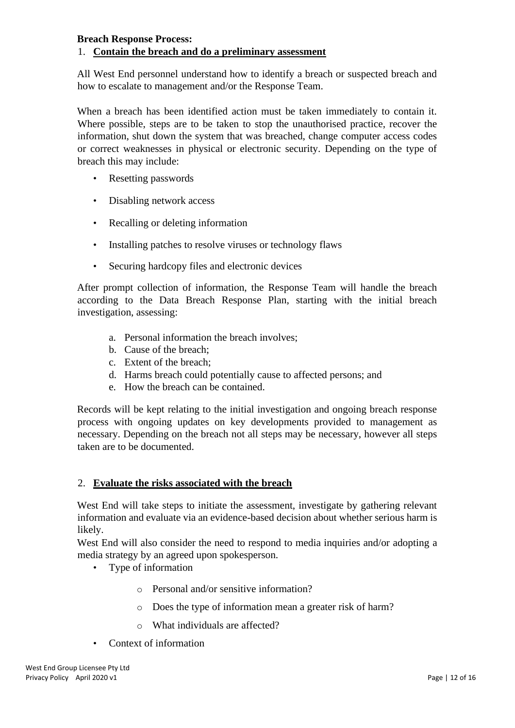#### **Breach Response Process:**

# 1. **Contain the breach and do a preliminary assessment**

All West End personnel understand how to identify a breach or suspected breach and how to escalate to management and/or the Response Team.

When a breach has been identified action must be taken immediately to contain it. Where possible, steps are to be taken to stop the unauthorised practice, recover the information, shut down the system that was breached, change computer access codes or correct weaknesses in physical or electronic security. Depending on the type of breach this may include:

- Resetting passwords
- Disabling network access
- Recalling or deleting information
- Installing patches to resolve viruses or technology flaws
- Securing hardcopy files and electronic devices

After prompt collection of information, the Response Team will handle the breach according to the Data Breach Response Plan, starting with the initial breach investigation, assessing:

- a. Personal information the breach involves;
- b. Cause of the breach;
- c. Extent of the breach;
- d. Harms breach could potentially cause to affected persons; and
- e. How the breach can be contained.

Records will be kept relating to the initial investigation and ongoing breach response process with ongoing updates on key developments provided to management as necessary. Depending on the breach not all steps may be necessary, however all steps taken are to be documented.

#### 2. **Evaluate the risks associated with the breach**

West End will take steps to initiate the assessment, investigate by gathering relevant information and evaluate via an evidence-based decision about whether serious harm is likely.

West End will also consider the need to respond to media inquiries and/or adopting a media strategy by an agreed upon spokesperson.

- Type of information
	- o Personal and/or sensitive information?
	- o Does the type of information mean a greater risk of harm?
	- o What individuals are affected?
- Context of information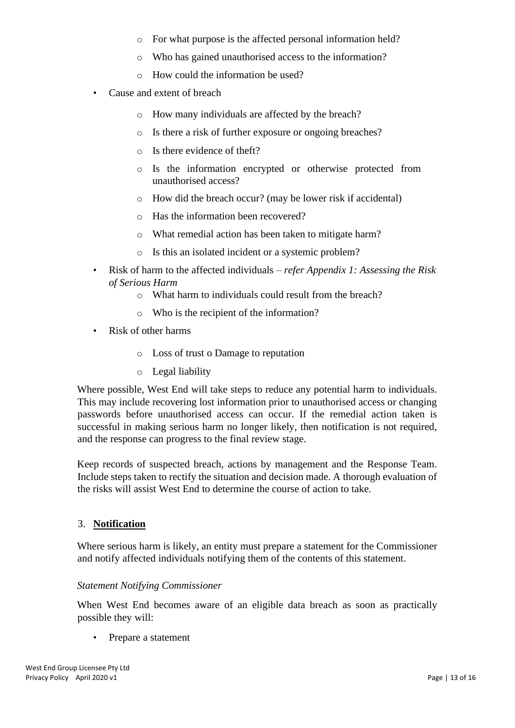- o For what purpose is the affected personal information held?
- o Who has gained unauthorised access to the information?
- o How could the information be used?
- Cause and extent of breach
	- o How many individuals are affected by the breach?
	- o Is there a risk of further exposure or ongoing breaches?
	- o Is there evidence of theft?
	- o Is the information encrypted or otherwise protected from unauthorised access?
	- o How did the breach occur? (may be lower risk if accidental)
	- o Has the information been recovered?
	- o What remedial action has been taken to mitigate harm?
	- o Is this an isolated incident or a systemic problem?
- Risk of harm to the affected individuals *refer Appendix 1: Assessing the Risk of Serious Harm*
	- o What harm to individuals could result from the breach?
	- o Who is the recipient of the information?
- Risk of other harms
	- o Loss of trust o Damage to reputation
	- o Legal liability

Where possible, West End will take steps to reduce any potential harm to individuals. This may include recovering lost information prior to unauthorised access or changing passwords before unauthorised access can occur. If the remedial action taken is successful in making serious harm no longer likely, then notification is not required, and the response can progress to the final review stage.

Keep records of suspected breach, actions by management and the Response Team. Include steps taken to rectify the situation and decision made. A thorough evaluation of the risks will assist West End to determine the course of action to take.

# 3. **Notification**

Where serious harm is likely, an entity must prepare a statement for the Commissioner and notify affected individuals notifying them of the contents of this statement.

# *Statement Notifying Commissioner*

When West End becomes aware of an eligible data breach as soon as practically possible they will:

• Prepare a statement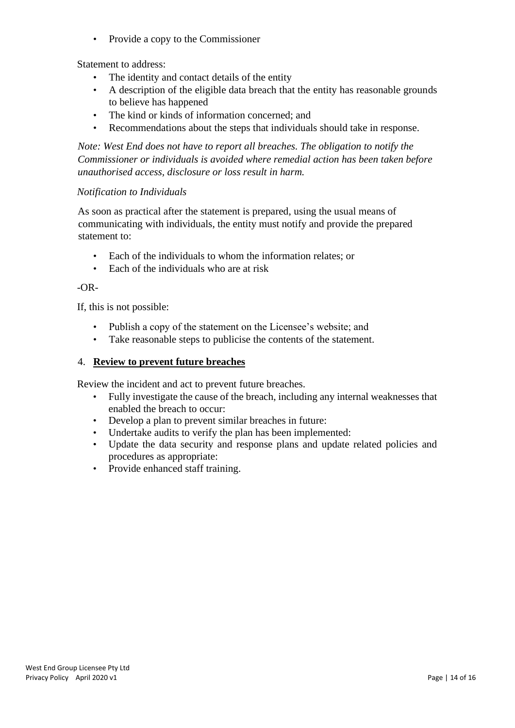• Provide a copy to the Commissioner

Statement to address:

- The identity and contact details of the entity
- A description of the eligible data breach that the entity has reasonable grounds to believe has happened
- The kind or kinds of information concerned; and
- Recommendations about the steps that individuals should take in response.

*Note: West End does not have to report all breaches. The obligation to notify the Commissioner or individuals is avoided where remedial action has been taken before unauthorised access, disclosure or loss result in harm.* 

# *Notification to Individuals*

As soon as practical after the statement is prepared, using the usual means of communicating with individuals, the entity must notify and provide the prepared statement to:

- Each of the individuals to whom the information relates; or
- Each of the individuals who are at risk

#### $-OR-$

If, this is not possible:

- Publish a copy of the statement on the Licensee's website; and
- Take reasonable steps to publicise the contents of the statement.

# 4. **Review to prevent future breaches**

Review the incident and act to prevent future breaches.

- Fully investigate the cause of the breach, including any internal weaknesses that enabled the breach to occur:
- Develop a plan to prevent similar breaches in future:
- Undertake audits to verify the plan has been implemented:
- Update the data security and response plans and update related policies and procedures as appropriate:
- Provide enhanced staff training.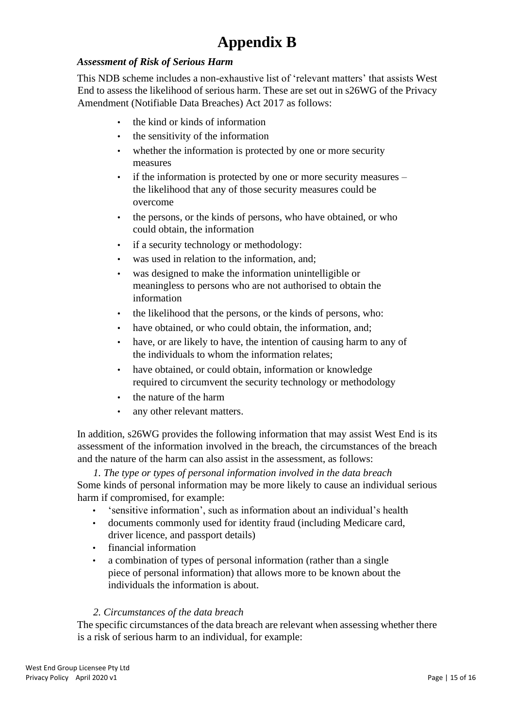# **Appendix B**

# *Assessment of Risk of Serious Harm*

This NDB scheme includes a non-exhaustive list of 'relevant matters' that assists West End to assess the likelihood of serious harm. These are set out in s26WG of the Privacy Amendment (Notifiable Data Breaches) Act 2017 as follows:

- the kind or kinds of information
- the sensitivity of the information
- whether the information is protected by one or more security measures
- if the information is protected by one or more security measures the likelihood that any of those security measures could be overcome
- the persons, or the kinds of persons, who have obtained, or who could obtain, the information
- if a security technology or methodology:
- was used in relation to the information, and;
- was designed to make the information unintelligible or meaningless to persons who are not authorised to obtain the information
- the likelihood that the persons, or the kinds of persons, who:
- have obtained, or who could obtain, the information, and;
- have, or are likely to have, the intention of causing harm to any of the individuals to whom the information relates;
- have obtained, or could obtain, information or knowledge required to circumvent the security technology or methodology
- the nature of the harm
- any other relevant matters.

In addition, s26WG provides the following information that may assist West End is its assessment of the information involved in the breach, the circumstances of the breach and the nature of the harm can also assist in the assessment, as follows:

*1. The type or types of personal information involved in the data breach*  Some kinds of personal information may be more likely to cause an individual serious harm if compromised, for example:

- 'sensitive information', such as information about an individual's health
- documents commonly used for identity fraud (including Medicare card, driver licence, and passport details)
- financial information
- a combination of types of personal information (rather than a single piece of personal information) that allows more to be known about the individuals the information is about.

#### *2. Circumstances of the data breach*

The specific circumstances of the data breach are relevant when assessing whether there is a risk of serious harm to an individual, for example: